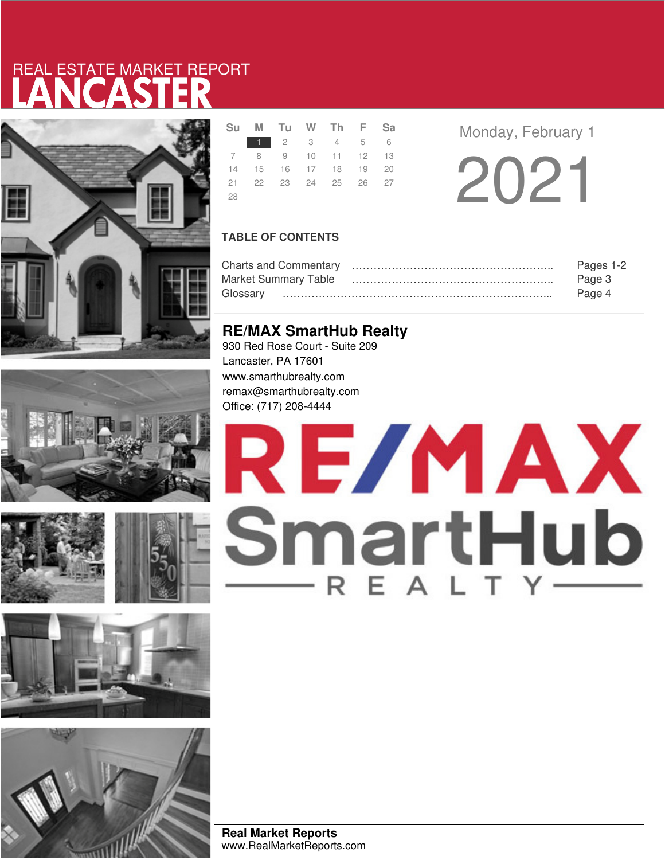# LANCASTER REAL ESTATE MARKET REPORT











|     |  | Su M Tu W Th F Sa          |  |
|-----|--|----------------------------|--|
|     |  | 1 2 3 4 5 6                |  |
|     |  | 7 8 9 10 11 12 13          |  |
|     |  | 14  15  16  17  18  19  20 |  |
|     |  | 21  22  23  24  25  26  27 |  |
| -28 |  |                            |  |

**Monday, February 1** 

2021

### **TABLE OF CONTENTS**

|                             | Pages 1-2 |
|-----------------------------|-----------|
| <b>Market Summary Table</b> | Page 3    |
|                             | Page 4    |

### **RE/MAX SmartHub Realty**

930 Red Rose Court - Suite 209 Lancaster, PA 17601 www.smarthubrealty.com remax@smarthubrealty.com Office: (717) 208-4444

# RE/MAX SmartHub EA

**Real Market Reports** www.RealMarketReports.com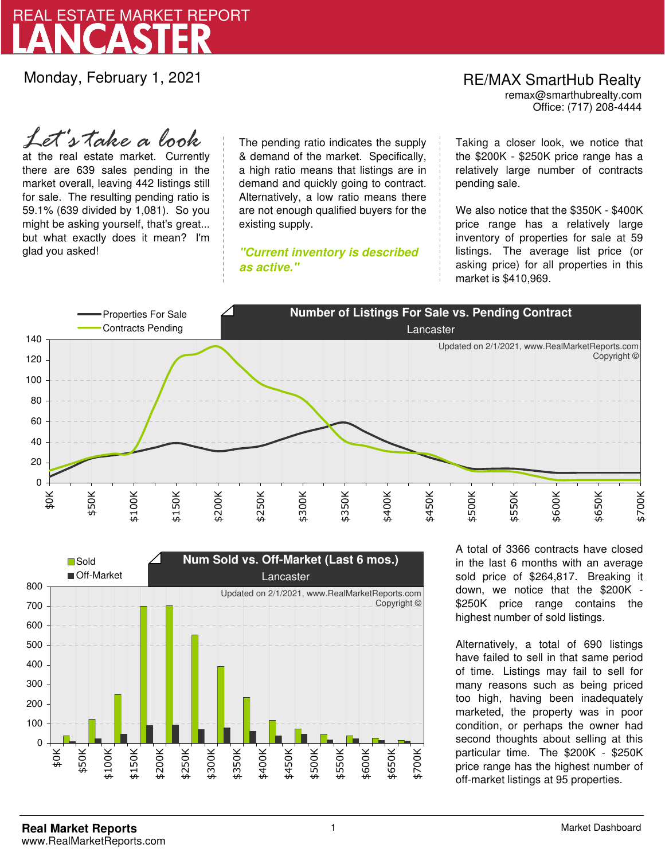

Monday, February 1, 2021

### RE/MAX SmartHub Realty remax@smarthubrealty.com

Office: (717) 208-4444

at the real estate market. Currently there are 639 sales pending in the market overall, leaving 442 listings still for sale. The resulting pending ratio is 59.1% (639 divided by 1,081). So you might be asking yourself, that's great... but what exactly does it mean? I'm glad you asked! *Let's take a look*

The pending ratio indicates the supply & demand of the market. Specifically, a high ratio means that listings are in demand and quickly going to contract. Alternatively, a low ratio means there are not enough qualified buyers for the existing supply.

**"Current inventory is described as active."**

Taking a closer look, we notice that the \$200K - \$250K price range has a relatively large number of contracts pending sale.

We also notice that the \$350K - \$400K price range has a relatively large inventory of properties for sale at 59 listings. The average list price (or asking price) for all properties in this market is \$410,969.





A total of 3366 contracts have closed in the last 6 months with an average sold price of \$264,817. Breaking it down, we notice that the \$200K - \$250K price range contains the highest number of sold listings.

Alternatively, a total of 690 listings have failed to sell in that same period of time. Listings may fail to sell for many reasons such as being priced too high, having been inadequately marketed, the property was in poor condition, or perhaps the owner had second thoughts about selling at this particular time. The \$200K - \$250K price range has the highest number of off-market listings at 95 properties.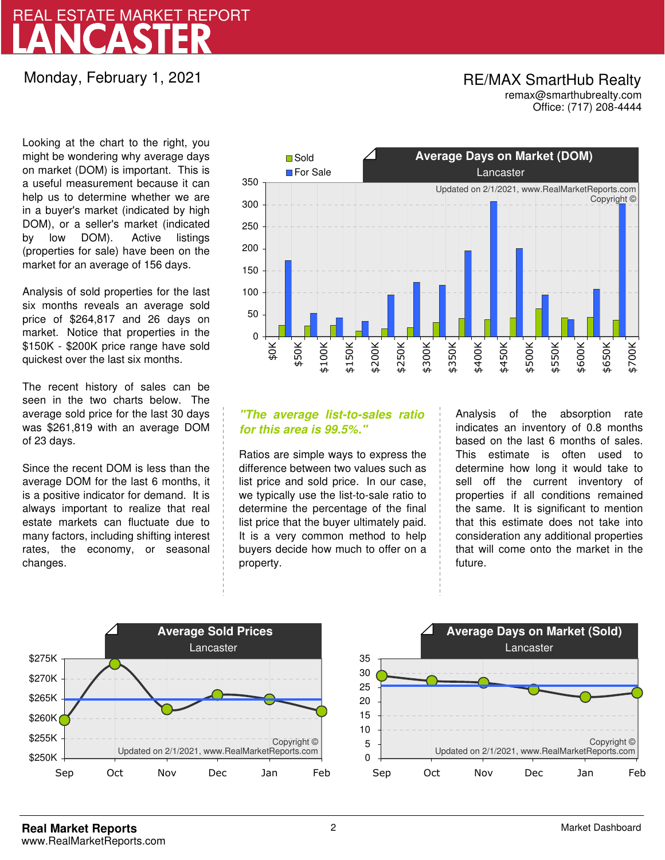# LANCASTER REAL ESTATE MARKET REPORT

# Monday, February 1, 2021

### RE/MAX SmartHub Realty remax@smarthubrealty.com

Office: (717) 208-4444

Looking at the chart to the right, you might be wondering why average days on market (DOM) is important. This is a useful measurement because it can help us to determine whether we are in a buyer's market (indicated by high DOM), or a seller's market (indicated by low DOM). Active listings (properties for sale) have been on the market for an average of 156 days.

Analysis of sold properties for the last six months reveals an average sold price of \$264,817 and 26 days on market. Notice that properties in the \$150K - \$200K price range have sold quickest over the last six months.

The recent history of sales can be seen in the two charts below. The average sold price for the last 30 days was \$261,819 with an average DOM of 23 days.

Since the recent DOM is less than the average DOM for the last 6 months, it is a positive indicator for demand. It is always important to realize that real estate markets can fluctuate due to many factors, including shifting interest rates, the economy, or seasonal changes.



### **"The average list-to-sales ratio for this area is 99.5%."**

Ratios are simple ways to express the difference between two values such as list price and sold price. In our case, we typically use the list-to-sale ratio to determine the percentage of the final list price that the buyer ultimately paid. It is a very common method to help buyers decide how much to offer on a property.

Analysis of the absorption rate indicates an inventory of 0.8 months based on the last 6 months of sales. This estimate is often used to determine how long it would take to sell off the current inventory of properties if all conditions remained the same. It is significant to mention that this estimate does not take into consideration any additional properties that will come onto the market in the future.



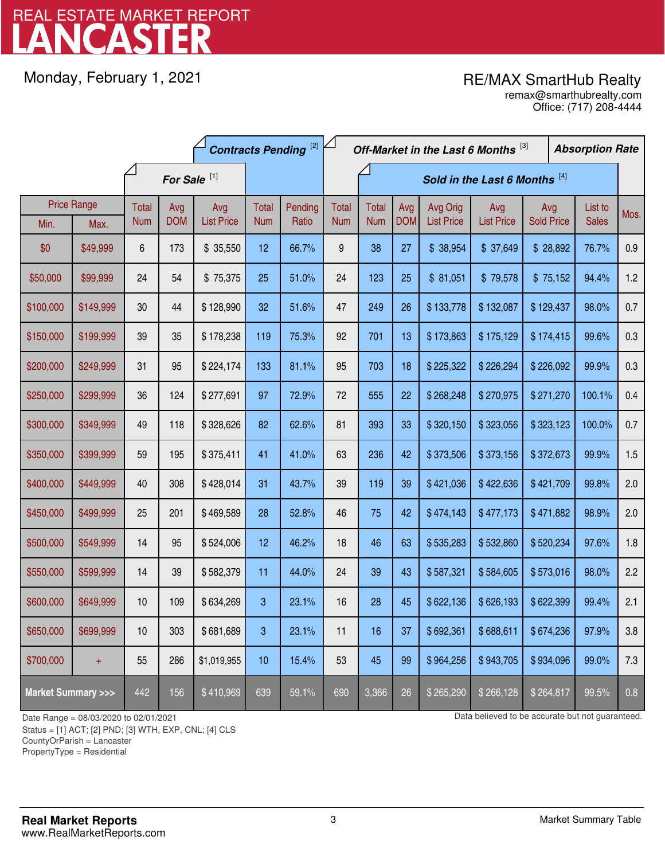# LANCASTER REAL ESTATE MARKET REPORT

Monday, February 1, 2021

# RE/MAX SmartHub Realty

Office: (717) 208-4444 remax@smarthubrealty.com

|                                    |           | <b>Contracts Pending</b> <sup>[2]</sup> |            |                   |            |                               |              | Off-Market in the Last 6 Months [3] |            |                   |                   |                   |  | <b>Absorption Rate</b> |      |
|------------------------------------|-----------|-----------------------------------------|------------|-------------------|------------|-------------------------------|--------------|-------------------------------------|------------|-------------------|-------------------|-------------------|--|------------------------|------|
|                                    |           | For Sale <sup>[1]</sup>                 |            |                   |            | Sold in the Last 6 Months [4] |              |                                     |            |                   |                   |                   |  |                        |      |
| <b>Price Range</b>                 |           | Total                                   | Avg        | Avg               | Total      | Pending                       | <b>Total</b> | <b>Total</b>                        | Avg        | Avg Orig          | Avg               | Avg               |  | List to                | Mos. |
| Min.                               | Max.      | <b>Num</b>                              | <b>DOM</b> | <b>List Price</b> | <b>Num</b> | Ratio                         | <b>Num</b>   | <b>Num</b>                          | <b>DOM</b> | <b>List Price</b> | <b>List Price</b> | <b>Sold Price</b> |  | <b>Sales</b>           |      |
| \$0                                | \$49,999  | 6                                       | 173        | \$35,550          | 12         | 66.7%                         | 9            | 38                                  | 27         | \$38,954          | \$37,649          | \$28,892          |  | 76.7%                  | 0.9  |
| \$50,000                           | \$99,999  | 24                                      | 54         | \$75,375          | 25         | 51.0%                         | 24           | 123                                 | 25         | \$81,051          | \$79,578          | \$75,152          |  | 94.4%                  | 1.2  |
| \$100,000                          | \$149,999 | 30                                      | 44         | \$128,990         | 32         | 51.6%                         | 47           | 249                                 | 26         | \$133,778         | \$132,087         | \$129,437         |  | 98.0%                  | 0.7  |
| \$150,000                          | \$199,999 | 39                                      | 35         | \$178,238         | 119        | 75.3%                         | 92           | 701                                 | 13         | \$173,863         | \$175,129         | \$174,415         |  | 99.6%                  | 0.3  |
| \$200,000                          | \$249,999 | 31                                      | 95         | \$224,174         | 133        | 81.1%                         | 95           | 703                                 | 18         | \$225,322         | \$226,294         | \$226,092         |  | 99.9%                  | 0.3  |
| \$250,000                          | \$299,999 | 36                                      | 124        | \$277,691         | 97         | 72.9%                         | 72           | 555                                 | 22         | \$268,248         | \$270,975         | \$271,270         |  | 100.1%                 | 0.4  |
| \$300,000                          | \$349,999 | 49                                      | 118        | \$328,626         | 82         | 62.6%                         | 81           | 393                                 | 33         | \$320,150         | \$323,056         | \$323,123         |  | 100.0%                 | 0.7  |
| \$350,000                          | \$399,999 | 59                                      | 195        | \$375,411         | 41         | 41.0%                         | 63           | 236                                 | 42         | \$373,506         | \$373,156         | \$372,673         |  | 99.9%                  | 1.5  |
| \$400,000                          | \$449,999 | 40                                      | 308        | \$428,014         | 31         | 43.7%                         | 39           | 119                                 | 39         | \$421,036         | \$422,636         | \$421,709         |  | 99.8%                  | 2.0  |
| \$450,000                          | \$499,999 | 25                                      | 201        | \$469,589         | 28         | 52.8%                         | 46           | 75                                  | 42         | \$474,143         | \$477,173         | \$471,882         |  | 98.9%                  | 2.0  |
| \$500,000                          | \$549,999 | 14                                      | 95         | \$524,006         | 12         | 46.2%                         | 18           | 46                                  | 63         | \$535,283         | \$532,860         | \$520,234         |  | 97.6%                  | 1.8  |
| \$550,000                          | \$599,999 | 14                                      | 39         | \$582,379         | 11         | 44.0%                         | 24           | 39                                  | 43         | \$587,321         | \$584,605         | \$573,016         |  | 98.0%                  | 2.2  |
| \$600,000                          | \$649,999 | 10                                      | 109        | \$634,269         | 3          | 23.1%                         | 16           | 28                                  | 45         | \$622,136         | \$626,193         | \$622,399         |  | 99.4%                  | 2.1  |
| \$650,000                          | \$699,999 | 10                                      | 303        | \$681,689         | 3          | 23.1%                         | 11           | 16                                  | 37         | \$692,361         | \$688,611         | \$674,236         |  | 97.9%                  | 3.8  |
| \$700,000                          | $+$       | 55                                      | 286        | \$1,019,955       | 10         | 15.4%                         | 53           | 45                                  | 99         | \$964,256         | \$943,705         | \$934,096         |  | 99.0%                  | 7.3  |
| <b>Market Summary &gt;&gt;&gt;</b> |           | 442                                     | 156        | \$410,969         | 639        | 59.1%                         | 690          | 3,366                               | 26         | \$265,290         | \$266,128         | \$264,817         |  | 99.5%                  | 0.8  |

Status = [1] ACT; [2] PND; [3] WTH, EXP, CNL; [4] CLS

CountyOrParish = Lancaster

PropertyType = Residential

1

Date Range = 08/03/2020 to 02/01/2021 Data believed to be accurate but not guaranteed.